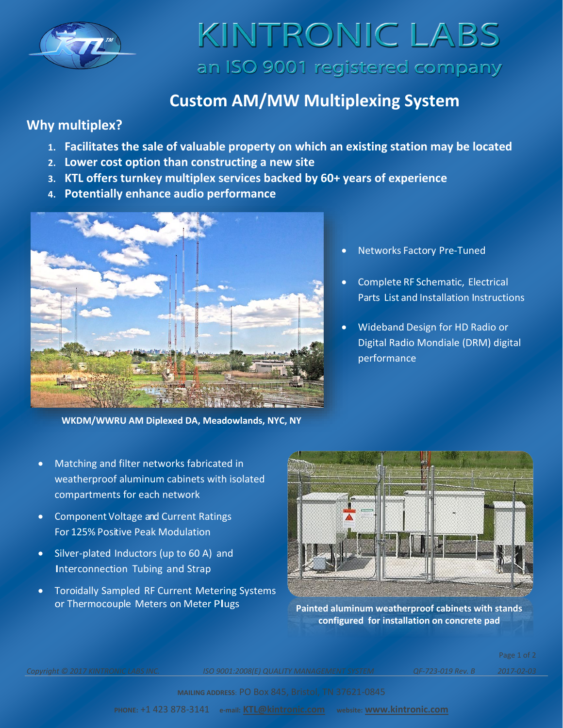

# KINTRONIC LABS an ISO 9001 registered company

### **Custom AM/MW Multiplexing System**

### **Why multiplex?**

- **1. Facilitates the sale of valuable property on which an existing station may be located**
- **2. Lower cost option than constructing a new site**
- **3. KTL offers turnkey multiplex services backed by 60+ years of experience**
- **4. Potentially enhance audio performance**



**WKDM/WWRU AM Diplexed DA, Meadowlands, NYC, NY**

- Matching and filter networks fabricated in weatherproof aluminum cabinets with isolated compartments for each network
- Component Voltage and Current Ratings For 125% Positive Peak Modulation
- Silver-plated Inductors (up to 60 A) and Interconnection Tubing and Strap
- Toroidally Sampled RF Current Metering Systems or Thermocouple Meters on Meter Plugs **Painted aluminum weatherproof cabinets with stands**



**configured for installation on concrete pad**

*Copyright © 2017 KINTRONIC LABS INC. ISO 9001:2008(E) QUALITY MANAGEMENT SYSTEM QF-723-019 Rev. B 2017-02-03*

Page 1 of 2

**MAILING ADDRESS**: PO Box 845, Bristol, TN 37621-0845

**PHONE:** +1 423 878-3141 **e-mail: [KTL@kintronic.com](mailto:KTL@kintronic.com) website: [www.kintronic.com](http://www.kintronic.com/)**

- Networks Factory Pre-Tuned
- Complete RF Schematic, Electrical Parts List and Installation Instructions
- Wideband Design for HD Radio or Digital Radio Mondiale (DRM) digital performance